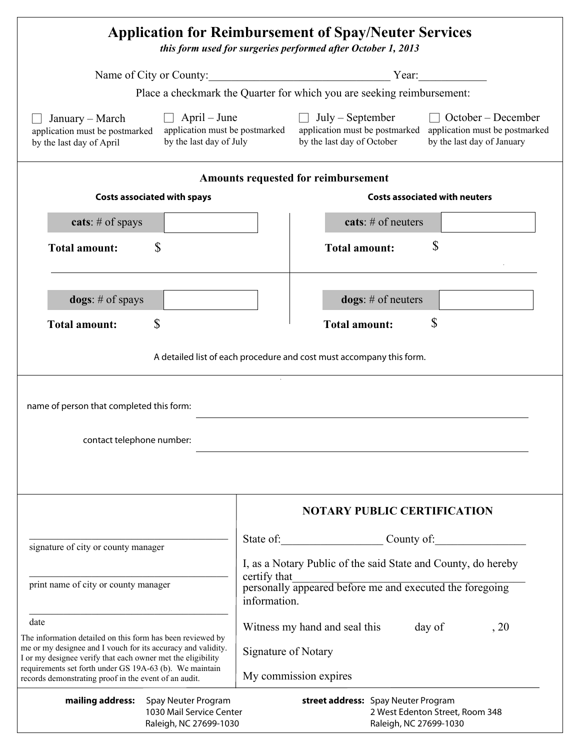| <b>Application for Reimbursement of Spay/Neuter Services</b><br>this form used for surgeries performed after October 1, 2013                                                                                                                                                                                  |                                                                                                                                                                                                                                |
|---------------------------------------------------------------------------------------------------------------------------------------------------------------------------------------------------------------------------------------------------------------------------------------------------------------|--------------------------------------------------------------------------------------------------------------------------------------------------------------------------------------------------------------------------------|
|                                                                                                                                                                                                                                                                                                               | Name of City or County: Year: Year:                                                                                                                                                                                            |
|                                                                                                                                                                                                                                                                                                               | Place a checkmark the Quarter for which you are seeking reimbursement:                                                                                                                                                         |
| $\Box$ April – June<br>January – March<br>application must be postmarked<br>by the last day of July<br>by the last day of April                                                                                                                                                                               | $\Box$ October – December<br>$\Box$ July – September<br>application must be postmarked application must be postmarked application must be postmarked<br>by the last day of October<br>by the last day of January               |
| Amounts requested for reimbursement<br><b>Costs associated with neuters</b>                                                                                                                                                                                                                                   |                                                                                                                                                                                                                                |
| <b>Costs associated with spays</b>                                                                                                                                                                                                                                                                            |                                                                                                                                                                                                                                |
| cats: $#$ of spays                                                                                                                                                                                                                                                                                            | cats: $#$ of neuters                                                                                                                                                                                                           |
| \$<br><b>Total amount:</b>                                                                                                                                                                                                                                                                                    | \$<br><b>Total amount:</b>                                                                                                                                                                                                     |
| $\log s$ : # of spays                                                                                                                                                                                                                                                                                         | $\text{logs}: # \text{ of neuters}$                                                                                                                                                                                            |
| \$<br><b>Total amount:</b>                                                                                                                                                                                                                                                                                    | \$<br><b>Total amount:</b>                                                                                                                                                                                                     |
| name of person that completed this form:<br>contact telephone number:                                                                                                                                                                                                                                         |                                                                                                                                                                                                                                |
|                                                                                                                                                                                                                                                                                                               | <b>NOTARY PUBLIC CERTIFICATION</b>                                                                                                                                                                                             |
|                                                                                                                                                                                                                                                                                                               | State of County of County of County of County of County of County of County of County of County of County of County of County of County of County of County of County of County of County of County of County of County of Cou |
| signature of city or county manager                                                                                                                                                                                                                                                                           | I, as a Notary Public of the said State and County, do hereby                                                                                                                                                                  |
| print name of city or county manager                                                                                                                                                                                                                                                                          | certify that<br>personally appeared before me and executed the foregoing<br>information.                                                                                                                                       |
| date                                                                                                                                                                                                                                                                                                          | Witness my hand and seal this<br>day of<br>, 20                                                                                                                                                                                |
| The information detailed on this form has been reviewed by<br>me or my designee and I vouch for its accuracy and validity.<br>I or my designee verify that each owner met the eligibility<br>requirements set forth under GS 19A-63 (b). We maintain<br>records demonstrating proof in the event of an audit. | Signature of Notary<br>My commission expires                                                                                                                                                                                   |
| mailing address:<br>Spay Neuter Program<br>1030 Mail Service Center<br>Raleigh, NC 27699-1030                                                                                                                                                                                                                 | street address: Spay Neuter Program<br>2 West Edenton Street, Room 348<br>Raleigh, NC 27699-1030                                                                                                                               |